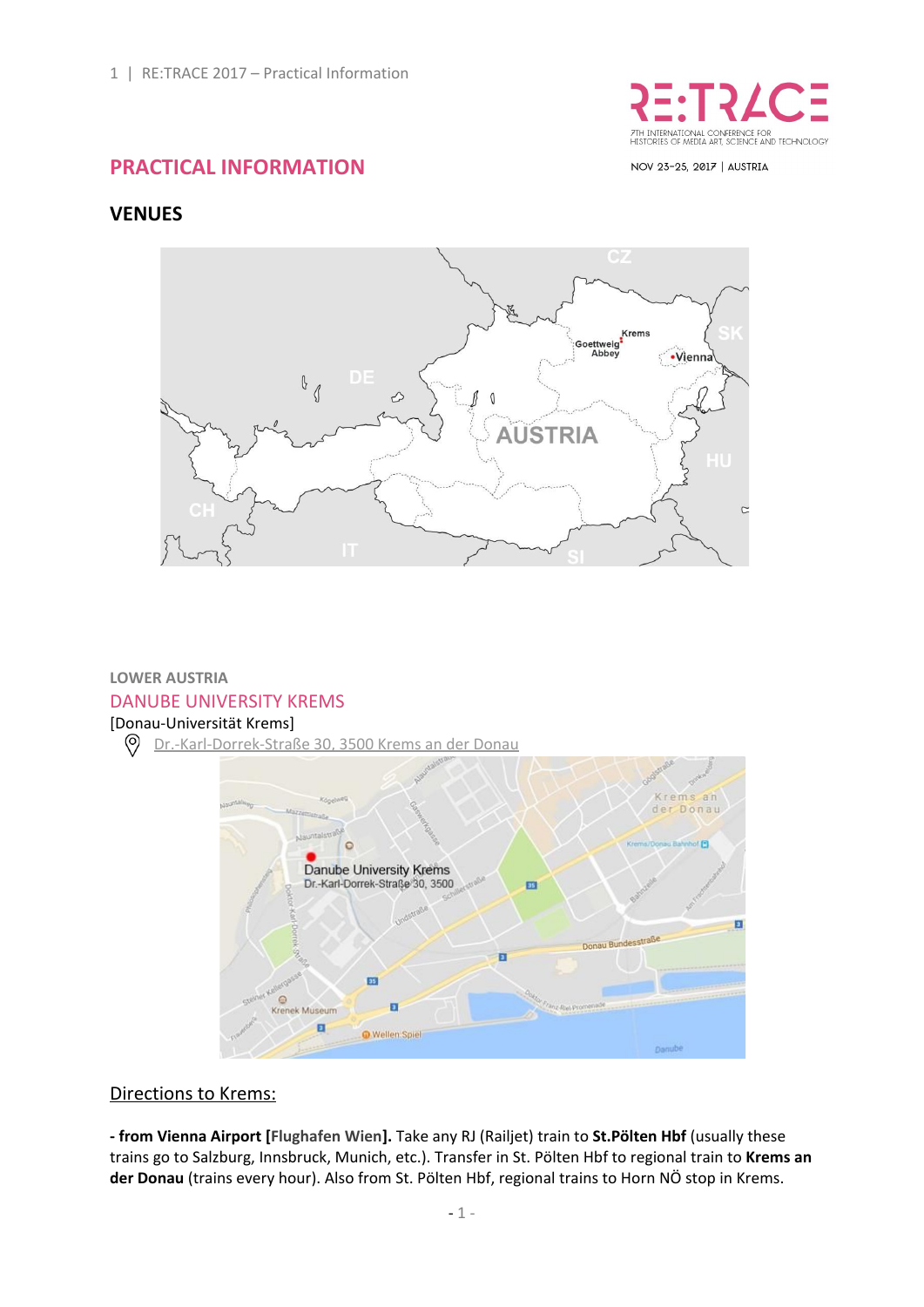

NOV 23-25, 2017 | AUSTRIA

# **PRACTICAL INFORMATION**

# **VENUES**



## **LOWER AUSTRIA** DANUBE UNIVERSITY KREMS

## [Donau-Universität Krems]

 $\circledcirc$ [Dr.-Karl-Dorrek-Straße](https://www.google.at/maps/place/Donau-Universit%C3%A4t+Krems/@48.4083879,15.5820553,16.25z/data=!4m5!3m4!1s0x47728449162e8263:0x520907d81c8f14b6!8m2!3d48.4081548!4d15.5862305) 30, 3500 Krems an der Donau



#### Directions to Krems:

**- from Vienna Airport [Flughafen Wien].** Take any RJ (Railjet) train to **St.Pölten Hbf** (usually these trains go to Salzburg, Innsbruck, Munich, etc.). Transfer in St. Pölten Hbf to regional train to **Krems an der Donau** (trains every hour). Also from St. Pölten Hbf, regional trains to Horn NÖ stop in Krems.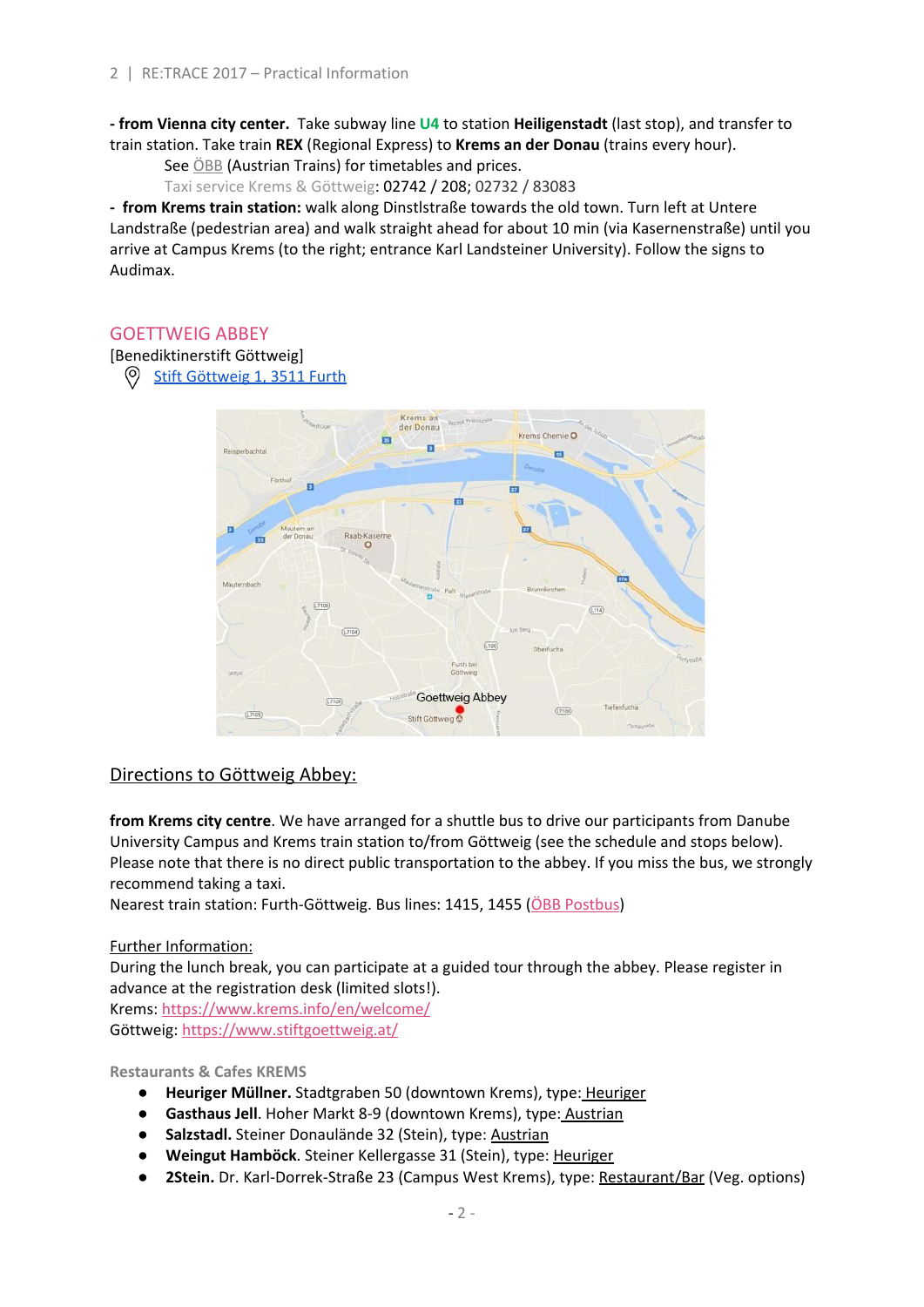**- from Vienna city center.** Take subway line **U4** to station **Heiligenstadt** (last stop), and transfer to train station. Take train **REX** (Regional Express) to **Krems an der Donau** (trains every hour).

See [ÖBB](http://www.oebb.at/en/) (Austrian Trains) for timetables and prices.

Taxi service Krems & Göttweig: 02742 / 208; 02732 / 83083

**- from Krems train station:** walk along Dinstlstraße towards the old town. Turn left at Untere Landstraße (pedestrian area) and walk straight ahead for about 10 min (via Kasernenstraße) until you arrive at Campus Krems (to the right; entrance Karl Landsteiner University). Follow the signs to Audimax.

## GOETTWEIG ABBEY

[Benediktinerstift Göttweig]

Stift [Göttweig](https://www.google.at/search?client=firefox-b-ab&dcr=0&tbm=lcl&ei=3HgEWqiTF8WfaL6cobgN&q=Stift+G%C3%B6ttweig+1%2C+3511+Stift+G%C3%B6ttweig&oq=Stift+G%C3%B6ttweig+1%2C+3511+Stift+G%C3%B6ttweig&gs_l=psy-ab.3..38l2.1546470.1546470.0.1547350.1.1.0.0.0.0.150.150.0j1.1.0....0...1..64.psy-ab..0.1.149....0.B65BiA5coDo#rlfi=hd:;si:4462371866617248399;mv:!1m3!1d12230.778584573789!2d15.60577272468413!3d48.37085736112992!3m2!1i1500!2i886!4f13.1) 1, 3511 Furth  $\circ$ 



## Directions to Göttweig Abbey:

**from Krems city centre**. We have arranged for a shuttle bus to drive our participants from Danube University Campus and Krems train station to/from Göttweig (see the schedule and stops below). Please note that there is no direct public transportation to the abbey. If you miss the bus, we strongly recommend taking a taxi.

Nearest train station: Furth-Göttweig. Bus lines: 1415, 1455 (ÖBB [Postbus\)](http://www.postbus.at/en/)

## Further Information:

During the lunch break, you can participate at a guided tour through the abbey. Please register in advance at the registration desk (limited slots!).

Krems: <https://www.krems.info/en/welcome/> Göttweig: <https://www.stiftgoettweig.at/>

#### **Restaurants & Cafes KREMS**

- **Heuriger Müllner.** Stadtgraben 50 (downtown Krems), type: Heuriger
- **Gasthaus Jell**. Hoher Markt 8-9 (downtown Krems), type: Austrian
- **Salzstadl.** Steiner Donaulände 32 (Stein), type: Austrian
- **● Weingut Hamböck**. Steiner Kellergasse 31 (Stein), type: Heuriger
- **● 2Stein.** Dr. Karl-Dorrek-Straße 23 (Campus West Krems), type: Restaurant/Bar (Veg. options)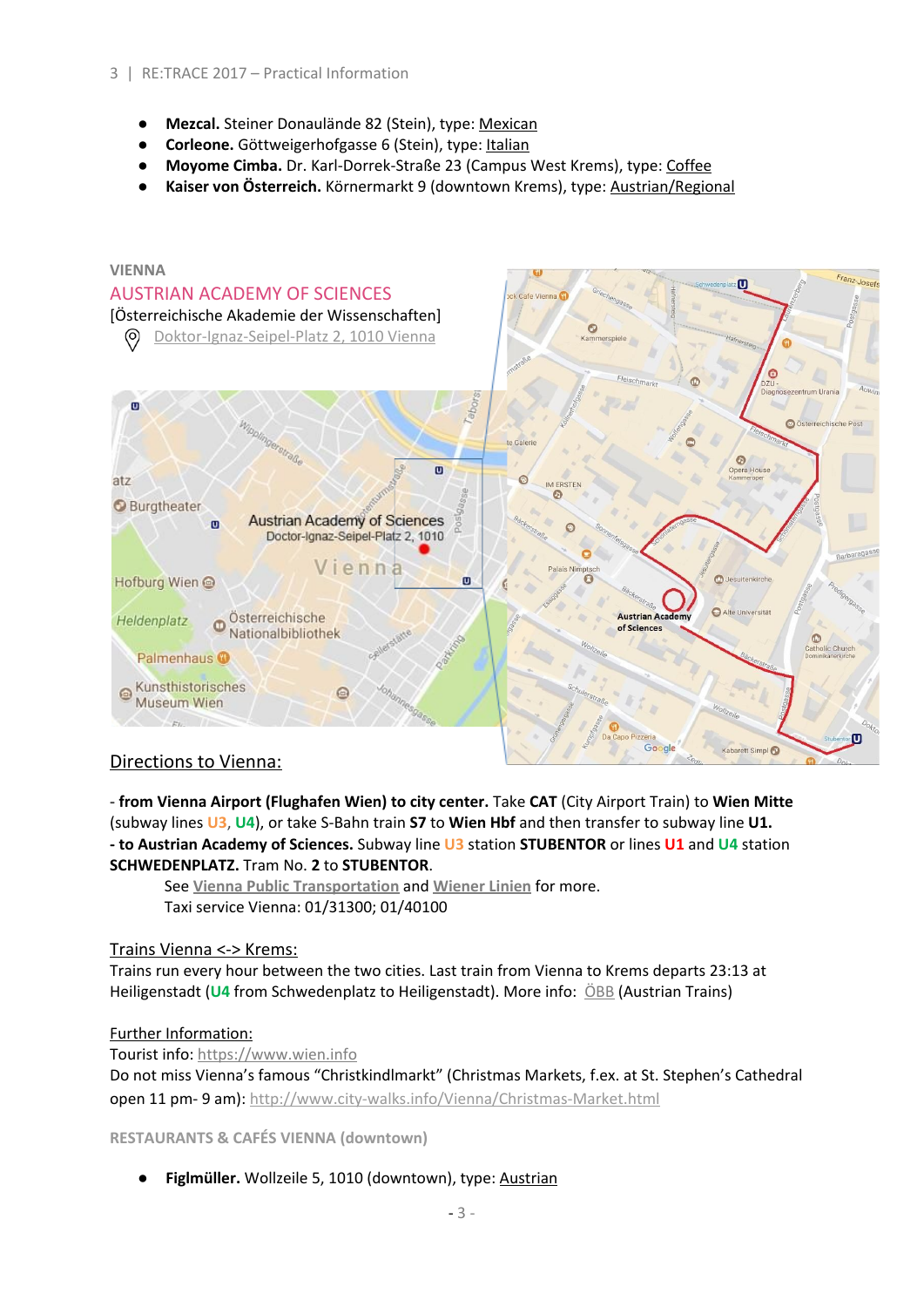- **Mezcal.** Steiner Donaulände 82 (Stein), type: Mexican
- **Corleone.** Göttweigerhofgasse 6 (Stein), type: Italian
- **Moyome Cimba.** Dr. Karl-Dorrek-Straße 23 (Campus West Krems), type: Coffee
- **Kaiser von Österreich.** Körnermarkt 9 (downtown Krems), type: Austrian/Regional



## Directions to Vienna:

**- from Vienna Airport (Flughafen Wien) to city center.** Take **CAT** (City Airport Train) to **Wien Mitte** (subway lines **U3**, **U4**), or take S-Bahn train **S7** to **Wien Hbf** and then transfer to subway line **U1. - to Austrian Academy of Sciences.** Subway line **U3** station **STUBENTOR** or lines **U1** and **U4** station **SCHWEDENPLATZ.** Tram No. **2** to **STUBENTOR**.

See **Vienna Public [Transportation](https://www.wien.gv.at/english/transportation-urbanplanning/public-transport/)** and **[Wiener](http://www.wienerlinien.at/) Linien** for more. Taxi service Vienna: 01/31300; 01/40100

#### Trains Vienna <-> Krems:

Trains run every hour between the two cities. Last train from Vienna to Krems departs 23:13 at Heiligenstadt (**U4** from Schwedenplatz to Heiligenstadt). More info: [ÖBB](http://www.oebb.at/en/) (Austrian Trains)

#### Further Information:

Tourist info: [https://www.wien.info](https://www.wien.info/en)

Do not miss Vienna's famous "Christkindlmarkt" (Christmas Markets, f.ex. at St. Stephen's Cathedral open 11 pm- 9 am): <http://www.city-walks.info/Vienna/Christmas-Market.html>

**RESTAURANTS & CAFÉS VIENNA (downtown)**

**Figlmüller.** Wollzeile 5, 1010 (downtown), type: Austrian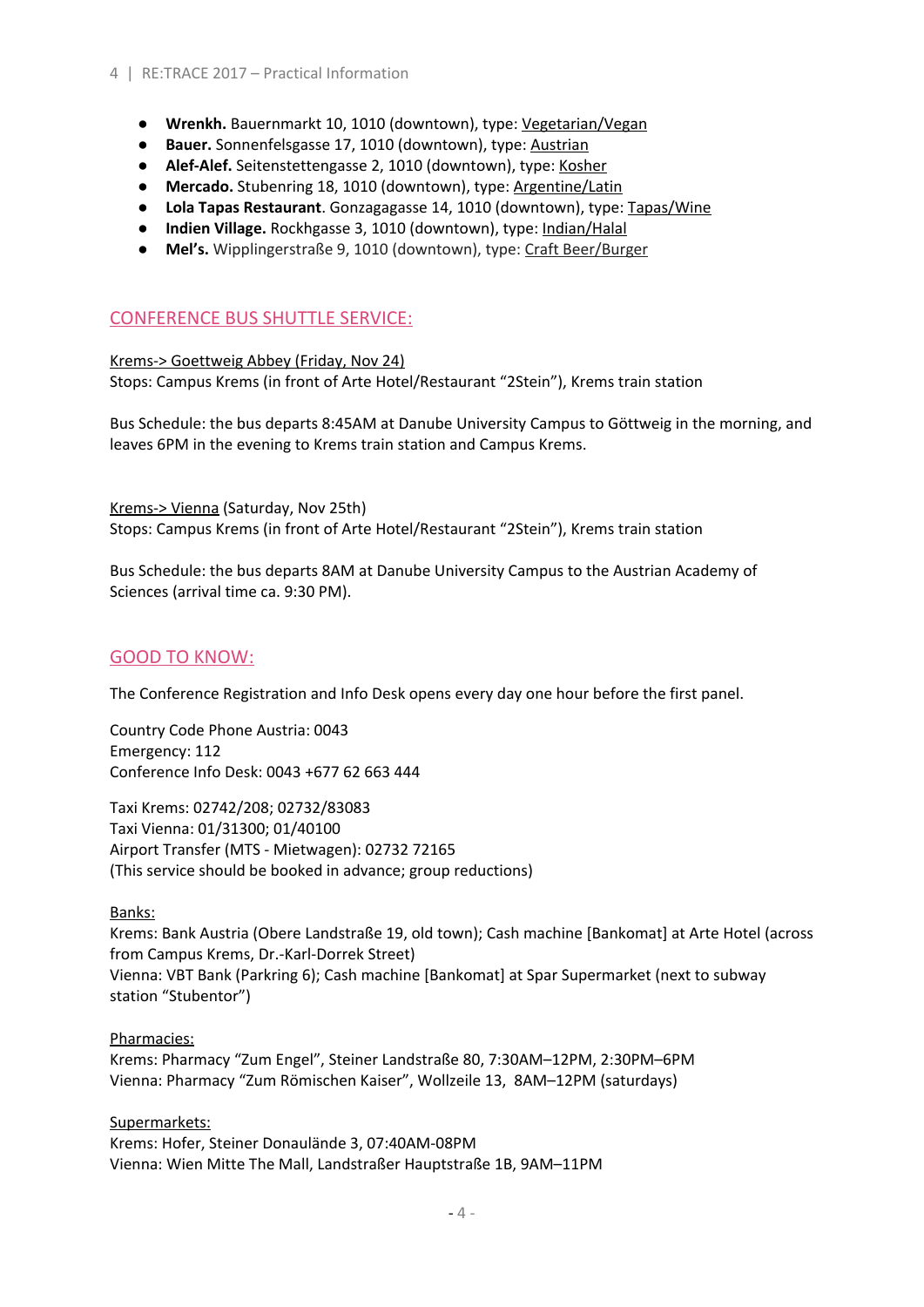- **● Wrenkh.** Bauernmarkt 10, 1010 (downtown), type: Vegetarian/Vegan
- **● Bauer.** Sonnenfelsgasse 17, 1010 (downtown), type: Austrian
- **Alef-Alef.** Seitenstettengasse 2, 1010 (downtown), type: Kosher
- **Mercado.** Stubenring 18, 1010 (downtown), type: Argentine/Latin
- **● Lola Tapas Restaurant**. Gonzagagasse 14, 1010 (downtown), type: Tapas/Wine
- **● Indien Village.** Rockhgasse 3, 1010 (downtown), type: Indian/Halal
- **● Mel's.** Wipplingerstraße 9, 1010 (downtown), type: Craft Beer/Burger

# CONFERENCE BUS SHUTTLE SERVICE:

Krems-> Goettweig Abbey (Friday, Nov 24) Stops: Campus Krems (in front of Arte Hotel/Restaurant "2Stein"), Krems train station

Bus Schedule: the bus departs 8:45AM at Danube University Campus to Göttweig in the morning, and leaves 6PM in the evening to Krems train station and Campus Krems.

Krems-> Vienna (Saturday, Nov 25th)

Stops: Campus Krems (in front of Arte Hotel/Restaurant "2Stein"), Krems train station

Bus Schedule: the bus departs 8AM at Danube University Campus to the Austrian Academy of Sciences (arrival time ca. 9:30 PM).

## GOOD TO KNOW:

The Conference Registration and Info Desk opens every day one hour before the first panel.

Country Code Phone Austria: 0043 Emergency: 112 Conference Info Desk: 0043 +677 62 663 444

Taxi Krems: 02742/208; 02732/83083 Taxi Vienna: 01/31300; 01/40100 Airport Transfer (MTS - Mietwagen): 02732 72165 (This service should be booked in advance; group reductions)

#### Banks:

Krems: Bank Austria (Obere Landstraße 19, old town); Cash machine [Bankomat] at Arte Hotel (across from Campus Krems, Dr.-Karl-Dorrek Street) Vienna: VBT Bank (Parkring 6); Cash machine [Bankomat] at Spar Supermarket (next to subway station "Stubentor")

## Pharmacies:

Krems: Pharmacy "Zum Engel", Steiner Landstraße 80, 7:30AM–12PM, 2:30PM–6PM Vienna: Pharmacy "Zum Römischen Kaiser", Wollzeile 13, 8AM–12PM (saturdays)

## Supermarkets:

Krems: Hofer, Steiner Donaulände 3, 07:40AM-08PM Vienna: Wien Mitte The Mall, Landstraßer Hauptstraße 1B, 9AM–11PM